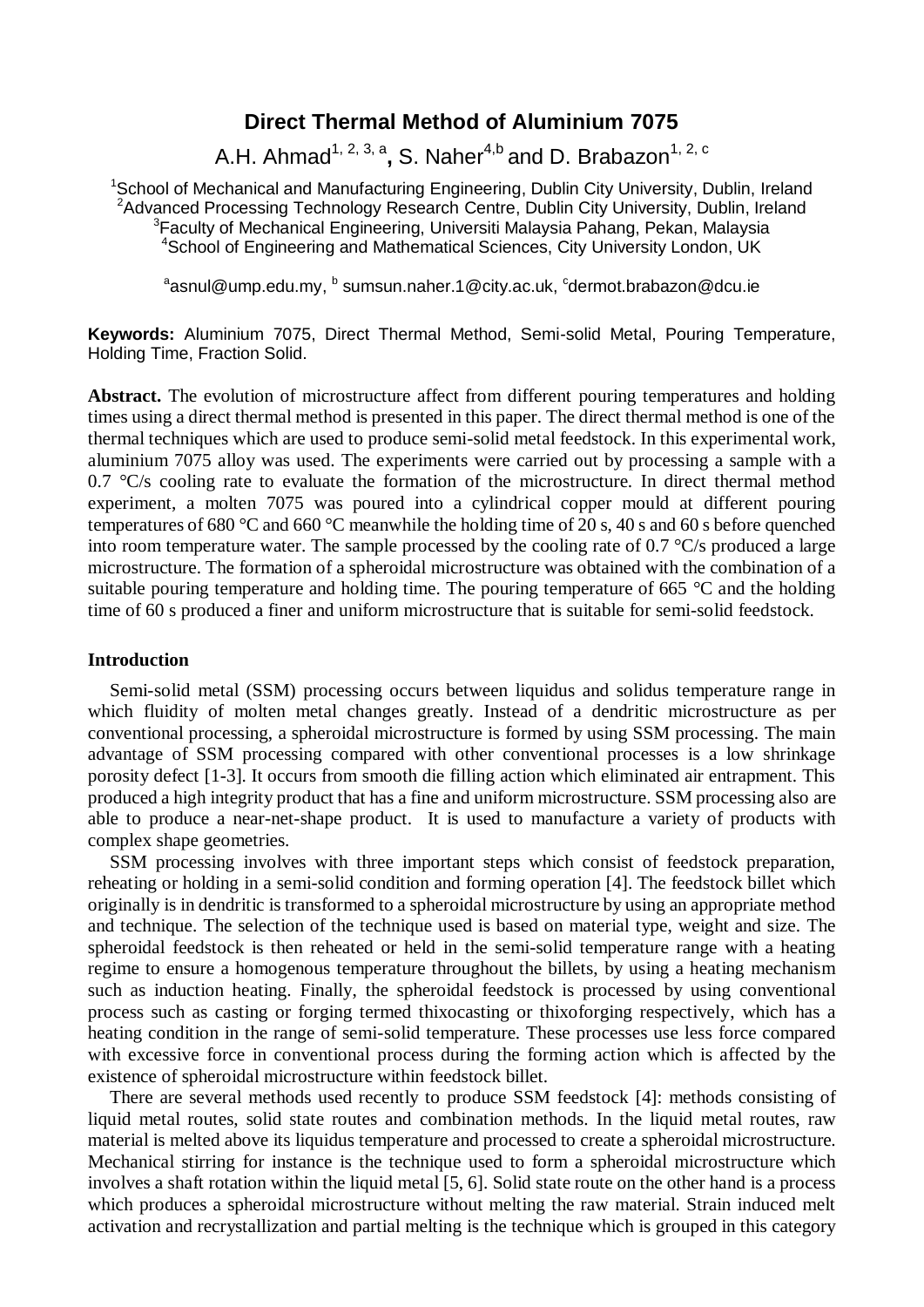# **Direct Thermal Method of Aluminium 7075**

A.H. Ahmad<sup>1, 2, 3, a</sup>, S. Naher<sup>4,b</sup> and D. Brabazon<sup>1, 2, c</sup>

<sup>1</sup>School of Mechanical and Manufacturing Engineering, Dublin City University, Dublin, Ireland <sup>2</sup>Advanced Processing Technology Research Centre, Dublin City University, Dublin, Ireland <sup>3</sup>Faculty of Mechanical Engineering, Universiti Malaysia Pahang, Pekan, Malaysia <sup>4</sup>School of Engineering and Mathematical Sciences, City University London, UK

 $^{\rm a}$ asnul@ump.edu.my,  $^{\rm b}$  sumsun.naher.1@city.ac.uk,  $^{\rm c}$ dermot.brabazon@dcu.ie

**Keywords:** Aluminium 7075, Direct Thermal Method, Semi-solid Metal, Pouring Temperature, Holding Time, Fraction Solid.

**Abstract.** The evolution of microstructure affect from different pouring temperatures and holding times using a direct thermal method is presented in this paper. The direct thermal method is one of the thermal techniques which are used to produce semi-solid metal feedstock. In this experimental work, aluminium 7075 alloy was used. The experiments were carried out by processing a sample with a  $0.7 \text{ °C/s}$  cooling rate to evaluate the formation of the microstructure. In direct thermal method experiment, a molten 7075 was poured into a cylindrical copper mould at different pouring temperatures of 680 °C and 660 °C meanwhile the holding time of 20 s, 40 s and 60 s before quenched into room temperature water. The sample processed by the cooling rate of 0.7 °C/s produced a large microstructure. The formation of a spheroidal microstructure was obtained with the combination of a suitable pouring temperature and holding time. The pouring temperature of 665 °C and the holding time of 60 s produced a finer and uniform microstructure that is suitable for semi-solid feedstock.

#### **Introduction**

Semi-solid metal (SSM) processing occurs between liquidus and solidus temperature range in which fluidity of molten metal changes greatly. Instead of a dendritic microstructure as per conventional processing, a spheroidal microstructure is formed by using SSM processing. The main advantage of SSM processing compared with other conventional processes is a low shrinkage porosity defect [1-3]. It occurs from smooth die filling action which eliminated air entrapment. This produced a high integrity product that has a fine and uniform microstructure. SSM processing also are able to produce a near-net-shape product. It is used to manufacture a variety of products with complex shape geometries.

SSM processing involves with three important steps which consist of feedstock preparation, reheating or holding in a semi-solid condition and forming operation [4]. The feedstock billet which originally is in dendritic is transformed to a spheroidal microstructure by using an appropriate method and technique. The selection of the technique used is based on material type, weight and size. The spheroidal feedstock is then reheated or held in the semi-solid temperature range with a heating regime to ensure a homogenous temperature throughout the billets, by using a heating mechanism such as induction heating. Finally, the spheroidal feedstock is processed by using conventional process such as casting or forging termed thixocasting or thixoforging respectively, which has a heating condition in the range of semi-solid temperature. These processes use less force compared with excessive force in conventional process during the forming action which is affected by the existence of spheroidal microstructure within feedstock billet.

There are several methods used recently to produce SSM feedstock [4]: methods consisting of liquid metal routes, solid state routes and combination methods. In the liquid metal routes, raw material is melted above its liquidus temperature and processed to create a spheroidal microstructure. Mechanical stirring for instance is the technique used to form a spheroidal microstructure which involves a shaft rotation within the liquid metal [5, 6]. Solid state route on the other hand is a process which produces a spheroidal microstructure without melting the raw material. Strain induced melt activation and recrystallization and partial melting is the technique which is grouped in this category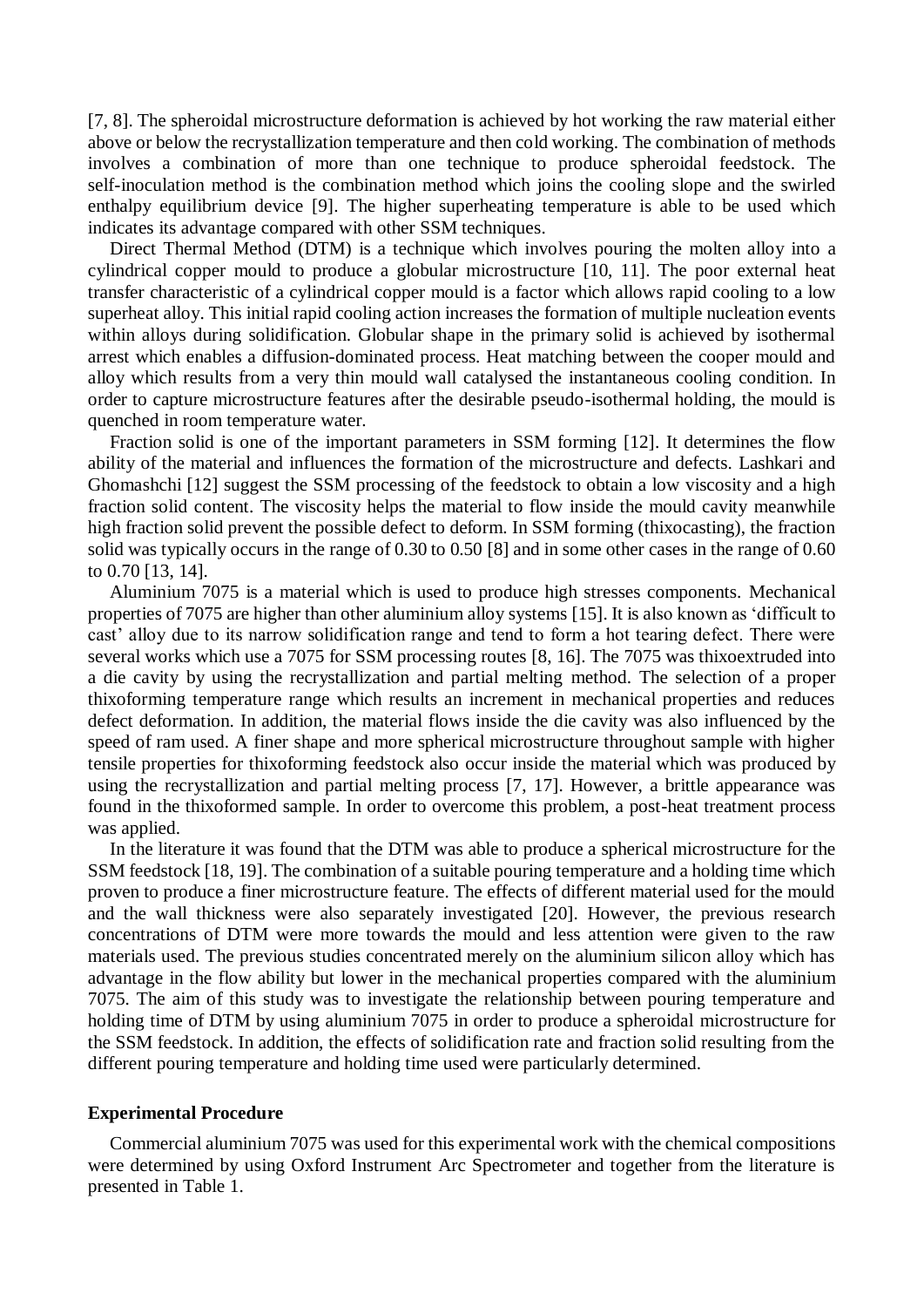[7, 8]. The spheroidal microstructure deformation is achieved by hot working the raw material either above or below the recrystallization temperature and then cold working. The combination of methods involves a combination of more than one technique to produce spheroidal feedstock. The self-inoculation method is the combination method which joins the cooling slope and the swirled enthalpy equilibrium device [9]. The higher superheating temperature is able to be used which indicates its advantage compared with other SSM techniques.

Direct Thermal Method (DTM) is a technique which involves pouring the molten alloy into a cylindrical copper mould to produce a globular microstructure [10, 11]. The poor external heat transfer characteristic of a cylindrical copper mould is a factor which allows rapid cooling to a low superheat alloy. This initial rapid cooling action increases the formation of multiple nucleation events within alloys during solidification. Globular shape in the primary solid is achieved by isothermal arrest which enables a diffusion-dominated process. Heat matching between the cooper mould and alloy which results from a very thin mould wall catalysed the instantaneous cooling condition. In order to capture microstructure features after the desirable pseudo-isothermal holding, the mould is quenched in room temperature water.

Fraction solid is one of the important parameters in SSM forming [12]. It determines the flow ability of the material and influences the formation of the microstructure and defects. Lashkari and Ghomashchi [12] suggest the SSM processing of the feedstock to obtain a low viscosity and a high fraction solid content. The viscosity helps the material to flow inside the mould cavity meanwhile high fraction solid prevent the possible defect to deform. In SSM forming (thixocasting), the fraction solid was typically occurs in the range of 0.30 to 0.50 [8] and in some other cases in the range of 0.60 to 0.70 [13, 14].

Aluminium 7075 is a material which is used to produce high stresses components. Mechanical properties of 7075 are higher than other aluminium alloy systems [15]. It is also known as 'difficult to cast' alloy due to its narrow solidification range and tend to form a hot tearing defect. There were several works which use a 7075 for SSM processing routes [8, 16]. The 7075 was thixoextruded into a die cavity by using the recrystallization and partial melting method. The selection of a proper thixoforming temperature range which results an increment in mechanical properties and reduces defect deformation. In addition, the material flows inside the die cavity was also influenced by the speed of ram used. A finer shape and more spherical microstructure throughout sample with higher tensile properties for thixoforming feedstock also occur inside the material which was produced by using the recrystallization and partial melting process [7, 17]. However, a brittle appearance was found in the thixoformed sample. In order to overcome this problem, a post-heat treatment process was applied.

In the literature it was found that the DTM was able to produce a spherical microstructure for the SSM feedstock [18, 19]. The combination of a suitable pouring temperature and a holding time which proven to produce a finer microstructure feature. The effects of different material used for the mould and the wall thickness were also separately investigated [20]. However, the previous research concentrations of DTM were more towards the mould and less attention were given to the raw materials used. The previous studies concentrated merely on the aluminium silicon alloy which has advantage in the flow ability but lower in the mechanical properties compared with the aluminium 7075. The aim of this study was to investigate the relationship between pouring temperature and holding time of DTM by using aluminium 7075 in order to produce a spheroidal microstructure for the SSM feedstock. In addition, the effects of solidification rate and fraction solid resulting from the different pouring temperature and holding time used were particularly determined.

### **Experimental Procedure**

Commercial aluminium 7075 was used for this experimental work with the chemical compositions were determined by using Oxford Instrument Arc Spectrometer and together from the literature is presented in [Table 1.](#page-2-0)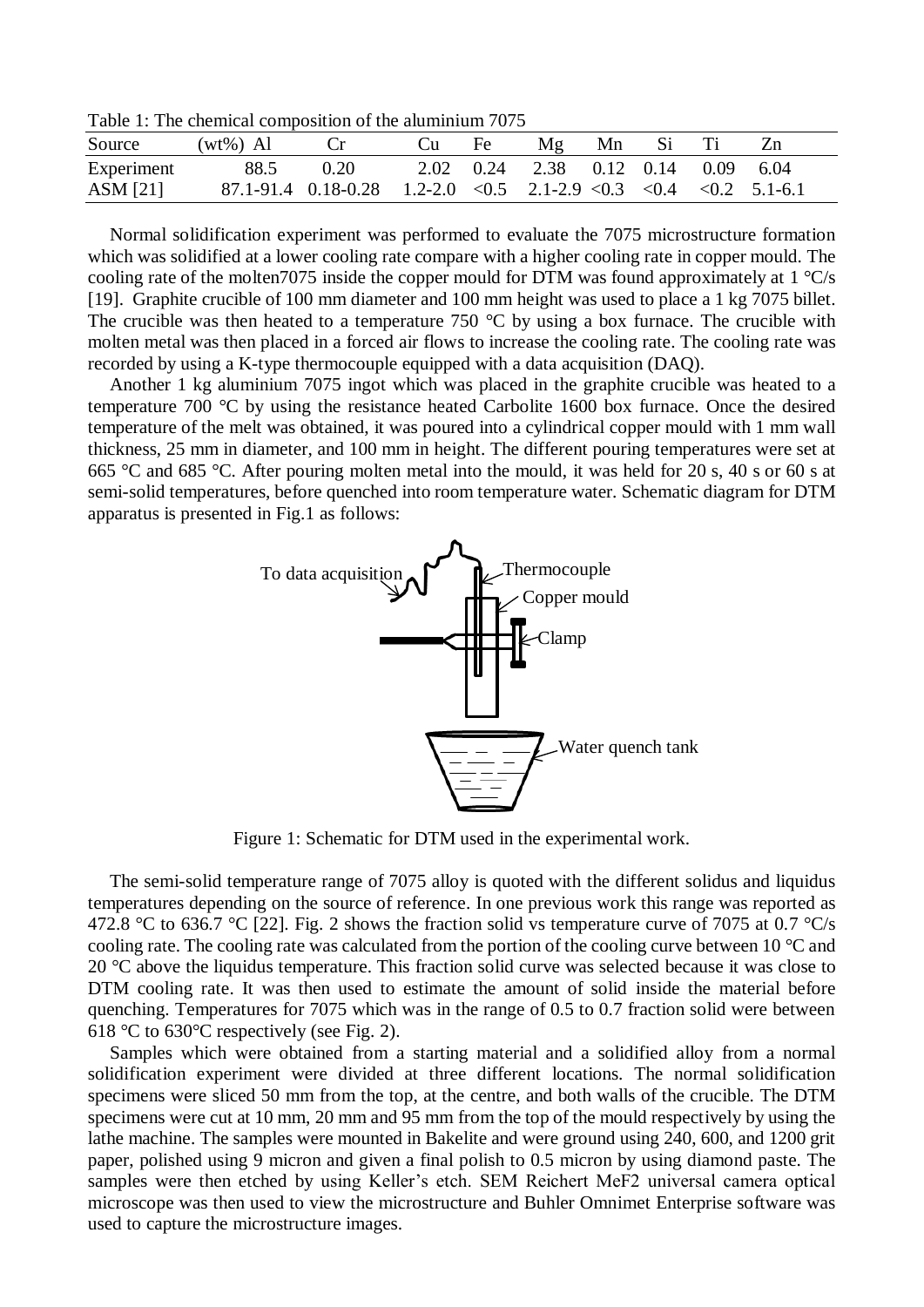<span id="page-2-0"></span>Table 1: The chemical composition of the aluminium 7075

| Source     | $(wt\%)$ Al |                                                                       | Cu Fe | Mg Mn Si Ti                        |  |  |  |
|------------|-------------|-----------------------------------------------------------------------|-------|------------------------------------|--|--|--|
| Experiment | 88.5        | 0.20                                                                  |       | 2.02 0.24 2.38 0.12 0.14 0.09 6.04 |  |  |  |
| ASM [21]   |             | $87.1-91.4$ 0.18-0.28 1.2-2.0 < 0.5 2.1-2.9 < 0.3 < 0.4 < 0.2 5.1-6.1 |       |                                    |  |  |  |

Normal solidification experiment was performed to evaluate the 7075 microstructure formation which was solidified at a lower cooling rate compare with a higher cooling rate in copper mould. The cooling rate of the molten7075 inside the copper mould for DTM was found approximately at 1 °C/s [19]. Graphite crucible of 100 mm diameter and 100 mm height was used to place a 1 kg 7075 billet. The crucible was then heated to a temperature 750  $\degree$ C by using a box furnace. The crucible with molten metal was then placed in a forced air flows to increase the cooling rate. The cooling rate was recorded by using a K-type thermocouple equipped with a data acquisition (DAQ).

Another 1 kg aluminium 7075 ingot which was placed in the graphite crucible was heated to a temperature 700 °C by using the resistance heated Carbolite 1600 box furnace. Once the desired temperature of the melt was obtained, it was poured into a cylindrical copper mould with 1 mm wall thickness, 25 mm in diameter, and 100 mm in height. The different pouring temperatures were set at 665 °C and 685 °C. After pouring molten metal into the mould, it was held for 20 s, 40 s or 60 s at semi-solid temperatures, before quenched into room temperature water. Schematic diagram for DTM apparatus is presented in Fig.1 as follows:



Figure 1: Schematic for DTM used in the experimental work.

The semi-solid temperature range of 7075 alloy is quoted with the different solidus and liquidus temperatures depending on the source of reference. In one previous work this range was reported as 472.8 °C to 636.7 °C [22]. Fig. 2 shows the fraction solid vs temperature curve of 7075 at 0.7 °C/s cooling rate. The cooling rate was calculated from the portion of the cooling curve between 10 °C and 20 °C above the liquidus temperature. This fraction solid curve was selected because it was close to DTM cooling rate. It was then used to estimate the amount of solid inside the material before quenching. Temperatures for 7075 which was in the range of 0.5 to 0.7 fraction solid were between 618 °C to 630°C respectively (see Fig. 2).

Samples which were obtained from a starting material and a solidified alloy from a normal solidification experiment were divided at three different locations. The normal solidification specimens were sliced 50 mm from the top, at the centre, and both walls of the crucible. The DTM specimens were cut at 10 mm, 20 mm and 95 mm from the top of the mould respectively by using the lathe machine. The samples were mounted in Bakelite and were ground using 240, 600, and 1200 grit paper, polished using 9 micron and given a final polish to 0.5 micron by using diamond paste. The samples were then etched by using Keller's etch. SEM Reichert MeF2 universal camera optical microscope was then used to view the microstructure and Buhler Omnimet Enterprise software was used to capture the microstructure images.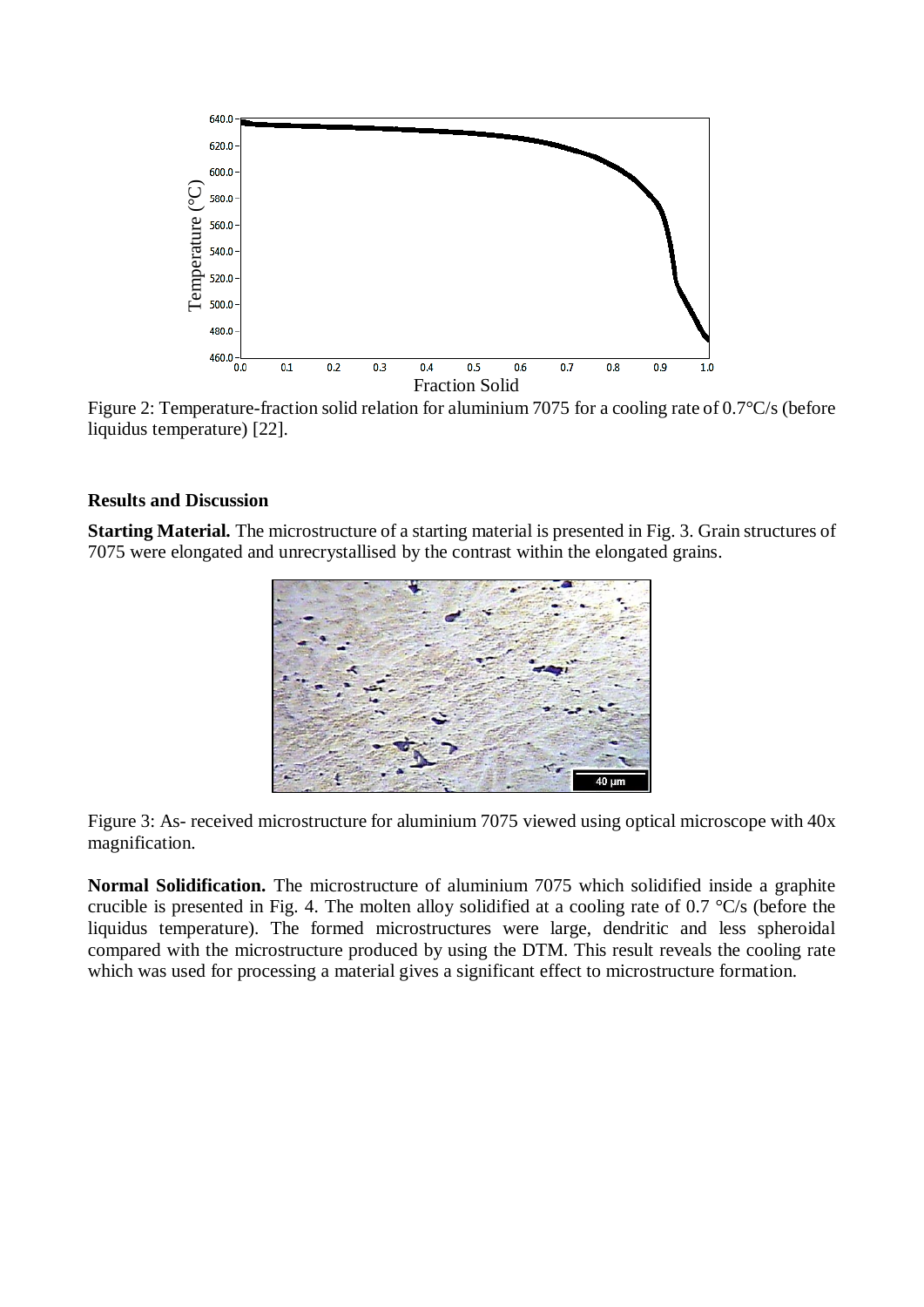

Figure 2: Temperature-fraction solid relation for aluminium 7075 for a cooling rate of 0.7°C/s (before liquidus temperature) [22].

# **Results and Discussion**

**Starting Material.** The microstructure of a starting material is presented in Fig. 3. Grain structures of 7075 were elongated and unrecrystallised by the contrast within the elongated grains.



Figure 3: As- received microstructure for aluminium 7075 viewed using optical microscope with 40x magnification.

**Normal Solidification.** The microstructure of aluminium 7075 which solidified inside a graphite crucible is presented in Fig. 4. The molten alloy solidified at a cooling rate of 0.7 °C/s (before the liquidus temperature). The formed microstructures were large, dendritic and less spheroidal compared with the microstructure produced by using the DTM. This result reveals the cooling rate which was used for processing a material gives a significant effect to microstructure formation.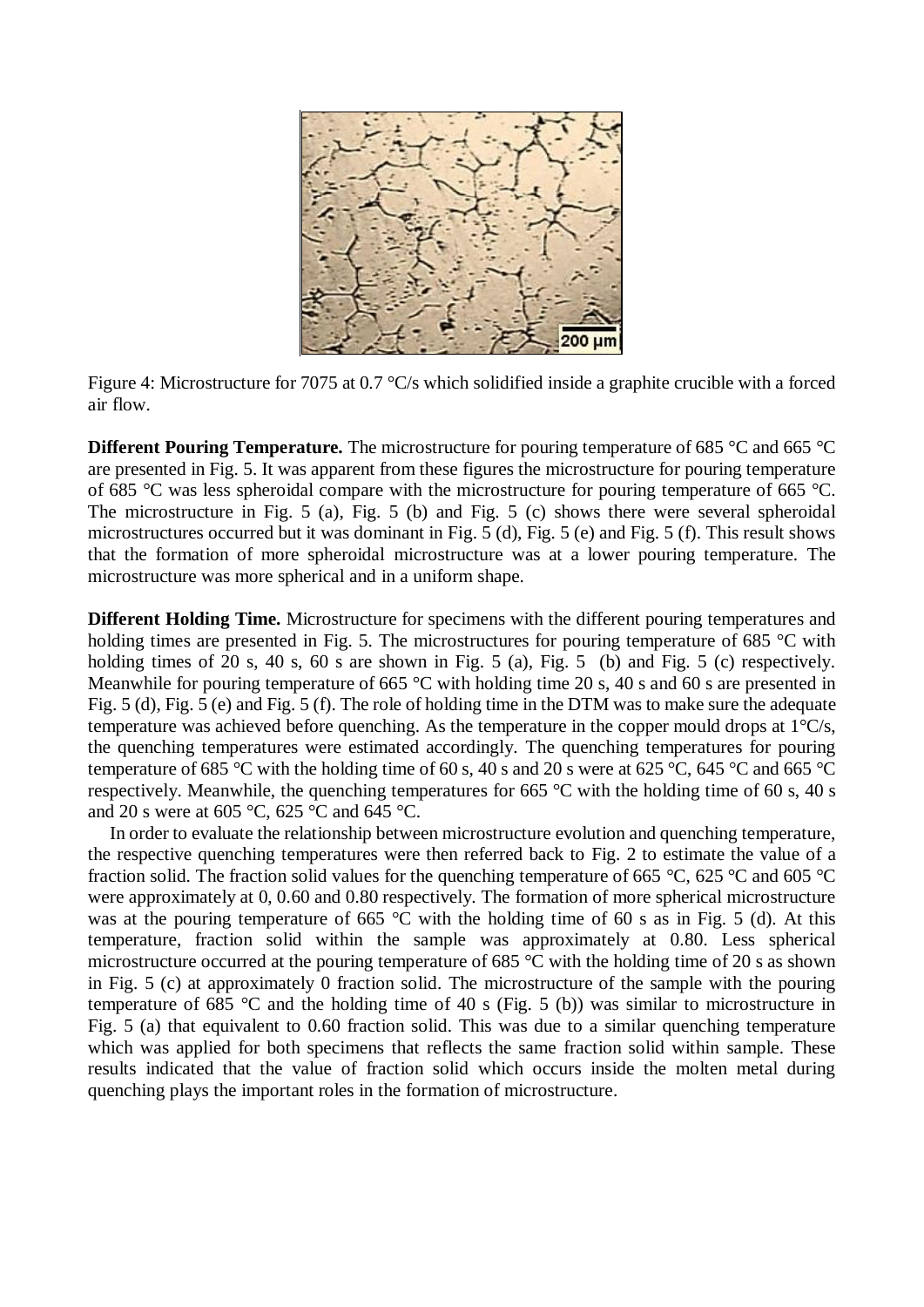

Figure 4: Microstructure for 7075 at 0.7 °C/s which solidified inside a graphite crucible with a forced air flow.

**Different Pouring Temperature.** The microstructure for pouring temperature of 685 °C and 665 °C are presented in Fig. 5. It was apparent from these figures the microstructure for pouring temperature of 685 °C was less spheroidal compare with the microstructure for pouring temperature of 665 °C. The microstructure in Fig. 5 (a), Fig. 5 (b) and Fig. 5 (c) shows there were several spheroidal microstructures occurred but it was dominant in Fig. 5 (d), Fig. 5 (e) and Fig. 5 (f). This result shows that the formation of more spheroidal microstructure was at a lower pouring temperature. The microstructure was more spherical and in a uniform shape.

**Different Holding Time.** Microstructure for specimens with the different pouring temperatures and holding times are presented in Fig. 5. The microstructures for pouring temperature of 685 °C with holding times of 20 s, 40 s, 60 s are shown in Fig. 5 (a), Fig. 5 (b) and Fig. 5 (c) respectively. Meanwhile for pouring temperature of 665 °C with holding time 20 s, 40 s and 60 s are presented in Fig. 5 (d), Fig. 5 (e) and Fig. 5 (f). The role of holding time in the DTM was to make sure the adequate temperature was achieved before quenching. As the temperature in the copper mould drops at  $1^{\circ}C/s$ , the quenching temperatures were estimated accordingly. The quenching temperatures for pouring temperature of 685 °C with the holding time of 60 s, 40 s and 20 s were at 625 °C, 645 °C and 665 °C respectively. Meanwhile, the quenching temperatures for 665 °C with the holding time of 60 s, 40 s and 20 s were at 605 °C, 625 °C and 645 °C.

In order to evaluate the relationship between microstructure evolution and quenching temperature, the respective quenching temperatures were then referred back to Fig. 2 to estimate the value of a fraction solid. The fraction solid values for the quenching temperature of 665 °C, 625 °C and 605 °C were approximately at 0, 0.60 and 0.80 respectively. The formation of more spherical microstructure was at the pouring temperature of 665 °C with the holding time of 60 s as in Fig. 5 (d). At this temperature, fraction solid within the sample was approximately at 0.80. Less spherical microstructure occurred at the pouring temperature of 685 °C with the holding time of 20 s as shown in Fig. 5 (c) at approximately 0 fraction solid. The microstructure of the sample with the pouring temperature of 685 °C and the holding time of 40 s (Fig. 5 (b)) was similar to microstructure in Fig. 5 (a) that equivalent to 0.60 fraction solid. This was due to a similar quenching temperature which was applied for both specimens that reflects the same fraction solid within sample. These results indicated that the value of fraction solid which occurs inside the molten metal during quenching plays the important roles in the formation of microstructure.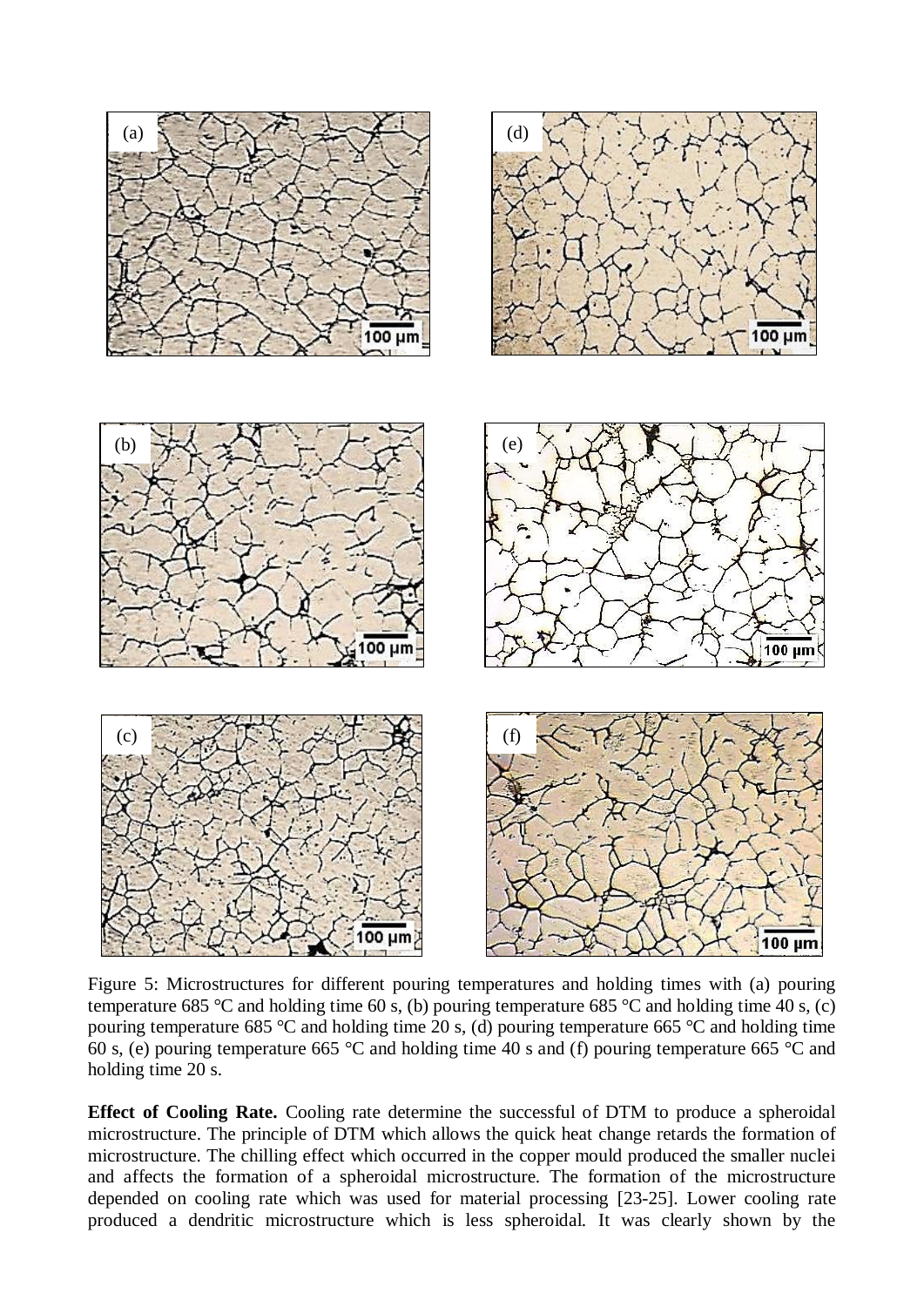

Figure 5: Microstructures for different pouring temperatures and holding times with (a) pouring temperature 685 °C and holding time 60 s, (b) pouring temperature 685 °C and holding time 40 s, (c) pouring temperature 685 °C and holding time 20 s, (d) pouring temperature 665 °C and holding time 60 s, (e) pouring temperature 665 °C and holding time 40 s and (f) pouring temperature 665 °C and holding time 20 s.

**Effect of Cooling Rate.** Cooling rate determine the successful of DTM to produce a spheroidal microstructure. The principle of DTM which allows the quick heat change retards the formation of microstructure. The chilling effect which occurred in the copper mould produced the smaller nuclei and affects the formation of a spheroidal microstructure. The formation of the microstructure depended on cooling rate which was used for material processing [23-25]. Lower cooling rate produced a dendritic microstructure which is less spheroidal. It was clearly shown by the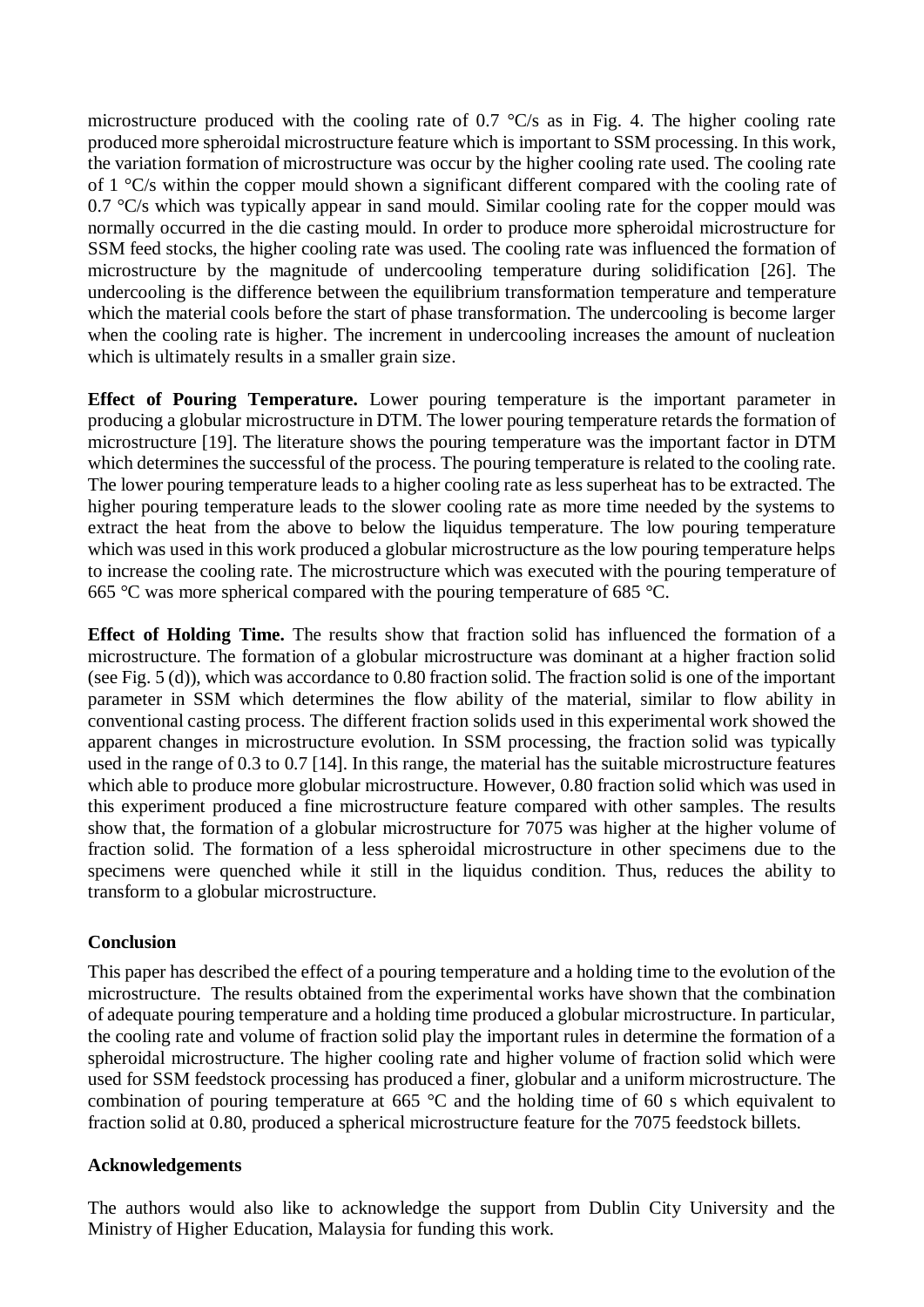microstructure produced with the cooling rate of 0.7 °C/s as in Fig. 4. The higher cooling rate produced more spheroidal microstructure feature which is important to SSM processing. In this work, the variation formation of microstructure was occur by the higher cooling rate used. The cooling rate of 1 °C/s within the copper mould shown a significant different compared with the cooling rate of 0.7 °C/s which was typically appear in sand mould. Similar cooling rate for the copper mould was normally occurred in the die casting mould. In order to produce more spheroidal microstructure for SSM feed stocks, the higher cooling rate was used. The cooling rate was influenced the formation of microstructure by the magnitude of undercooling temperature during solidification [26]. The undercooling is the difference between the equilibrium transformation temperature and temperature which the material cools before the start of phase transformation. The undercooling is become larger when the cooling rate is higher. The increment in undercooling increases the amount of nucleation which is ultimately results in a smaller grain size.

**Effect of Pouring Temperature.** Lower pouring temperature is the important parameter in producing a globular microstructure in DTM. The lower pouring temperature retards the formation of microstructure [19]. The literature shows the pouring temperature was the important factor in DTM which determines the successful of the process. The pouring temperature is related to the cooling rate. The lower pouring temperature leads to a higher cooling rate as less superheat has to be extracted. The higher pouring temperature leads to the slower cooling rate as more time needed by the systems to extract the heat from the above to below the liquidus temperature. The low pouring temperature which was used in this work produced a globular microstructure as the low pouring temperature helps to increase the cooling rate. The microstructure which was executed with the pouring temperature of 665 °C was more spherical compared with the pouring temperature of 685 °C.

**Effect of Holding Time.** The results show that fraction solid has influenced the formation of a microstructure. The formation of a globular microstructure was dominant at a higher fraction solid (see Fig. 5 (d)), which was accordance to 0.80 fraction solid. The fraction solid is one of the important parameter in SSM which determines the flow ability of the material, similar to flow ability in conventional casting process. The different fraction solids used in this experimental work showed the apparent changes in microstructure evolution. In SSM processing, the fraction solid was typically used in the range of 0.3 to 0.7 [14]. In this range, the material has the suitable microstructure features which able to produce more globular microstructure. However, 0.80 fraction solid which was used in this experiment produced a fine microstructure feature compared with other samples. The results show that, the formation of a globular microstructure for 7075 was higher at the higher volume of fraction solid. The formation of a less spheroidal microstructure in other specimens due to the specimens were quenched while it still in the liquidus condition. Thus, reduces the ability to transform to a globular microstructure.

# **Conclusion**

This paper has described the effect of a pouring temperature and a holding time to the evolution of the microstructure. The results obtained from the experimental works have shown that the combination of adequate pouring temperature and a holding time produced a globular microstructure. In particular, the cooling rate and volume of fraction solid play the important rules in determine the formation of a spheroidal microstructure. The higher cooling rate and higher volume of fraction solid which were used for SSM feedstock processing has produced a finer, globular and a uniform microstructure. The combination of pouring temperature at 665 °C and the holding time of 60 s which equivalent to fraction solid at 0.80, produced a spherical microstructure feature for the 7075 feedstock billets.

# **Acknowledgements**

The authors would also like to acknowledge the support from Dublin City University and the Ministry of Higher Education, Malaysia for funding this work.